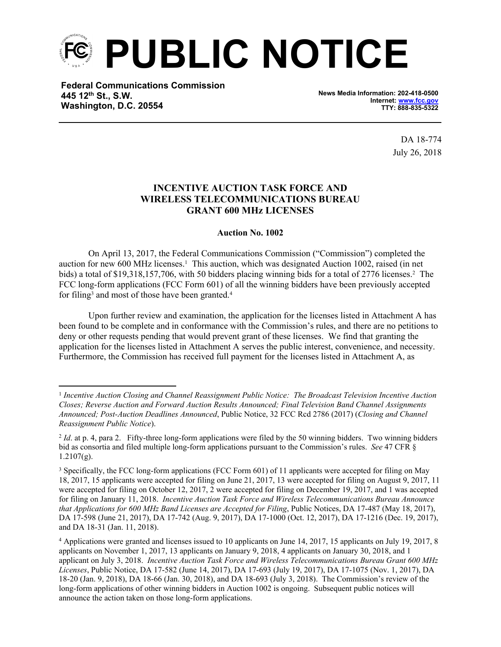

**Federal Communications Commission 445 12th St., S.W. Washington, D.C. 20554**

**News Media Information: 202-418-0500 Internet: [www.fcc.gov](file:///C:/Users/craig.bomberger/AppData/Local/Microsoft/Windows/Temporary%20Internet%20Files/Content.Outlook/BCL5QM18/www.fcc.gov) TTY: 888-835-5322**

> DA 18-774 July 26, 2018

## **INCENTIVE AUCTION TASK FORCE AND WIRELESS TELECOMMUNICATIONS BUREAU GRANT 600 MHz LICENSES**

## **Auction No. 1002**

On April 13, 2017, the Federal Communications Commission ("Commission") completed the auction for new 600 MHz licenses.<sup>1</sup> This auction, which was designated Auction 1002, raised (in net bids) a total of \$19,318,157,706, with 50 bidders placing winning bids for a total of 2776 licenses.<sup>2</sup> The FCC long-form applications (FCC Form 601) of all the winning bidders have been previously accepted for filing<sup>3</sup> and most of those have been granted.<sup>4</sup>

Upon further review and examination, the application for the licenses listed in Attachment A has been found to be complete and in conformance with the Commission's rules, and there are no petitions to deny or other requests pending that would prevent grant of these licenses. We find that granting the application for the licenses listed in Attachment A serves the public interest, convenience, and necessity. Furthermore, the Commission has received full payment for the licenses listed in Attachment A, as

<sup>1</sup> *Incentive Auction Closing and Channel Reassignment Public Notice: The Broadcast Television Incentive Auction Closes; Reverse Auction and Forward Auction Results Announced; Final Television Band Channel Assignments Announced; Post-Auction Deadlines Announced*, Public Notice, 32 FCC Rcd 2786 (2017) (*Closing and Channel Reassignment Public Notice*).

<sup>&</sup>lt;sup>2</sup> *Id.* at p. 4, para 2. Fifty-three long-form applications were filed by the 50 winning bidders. Two winning bidders bid as consortia and filed multiple long-form applications pursuant to the Commission's rules. *See* 47 CFR §  $1.2107(g)$ .

<sup>3</sup> Specifically, the FCC long-form applications (FCC Form 601) of 11 applicants were accepted for filing on May 18, 2017, 15 applicants were accepted for filing on June 21, 2017, 13 were accepted for filing on August 9, 2017, 11 were accepted for filing on October 12, 2017, 2 were accepted for filing on December 19, 2017, and 1 was accepted for filing on January 11, 2018. *Incentive Auction Task Force and Wireless Telecommunications Bureau Announce that Applications for 600 MHz Band Licenses are Accepted for Filing*, Public Notices, DA 17-487 (May 18, 2017), DA 17-598 (June 21, 2017), DA 17-742 (Aug. 9, 2017), DA 17-1000 (Oct. 12, 2017), DA 17-1216 (Dec. 19, 2017), and DA 18-31 (Jan. 11, 2018).

<sup>4</sup> Applications were granted and licenses issued to 10 applicants on June 14, 2017, 15 applicants on July 19, 2017, 8 applicants on November 1, 2017, 13 applicants on January 9, 2018, 4 applicants on January 30, 2018, and 1 applicant on July 3, 2018. *Incentive Auction Task Force and Wireless Telecommunications Bureau Grant 600 MHz Licenses*, Public Notice, DA 17-582 (June 14, 2017), DA 17-693 (July 19, 2017), DA 17-1075 (Nov. 1, 2017), DA 18-20 (Jan. 9, 2018), DA 18-66 (Jan. 30, 2018), and DA 18-693 (July 3, 2018). The Commission's review of the long-form applications of other winning bidders in Auction 1002 is ongoing. Subsequent public notices will announce the action taken on those long-form applications.